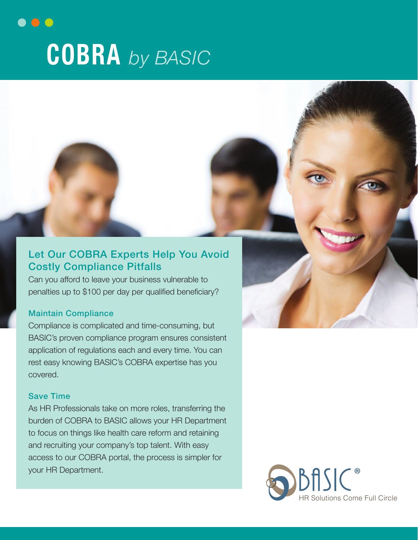# $\bullet$  0  $\bullet$ **COBRA** *by BASIC*

### Let Our COBRA Experts Help You Avoid Costly Compliance Pitfalls

Can you afford to leave your business vulnerable to penalties up to \$100 per day per qualified beneficiary?

#### Maintain Compliance

Compliance is complicated and time-consuming, but BASIC's proven compliance program ensures consistent application of regulations each and every time. You can rest easy knowing BASIC's COBRA expertise has you covered.

#### Save Time

As HR Professionals take on more roles, transferring the burden of COBRA to BASIC allows your HR Department to focus on things like health care reform and retaining and recruiting your company's top talent. With easy access to our COBRA portal, the process is simpler for your HR Department.